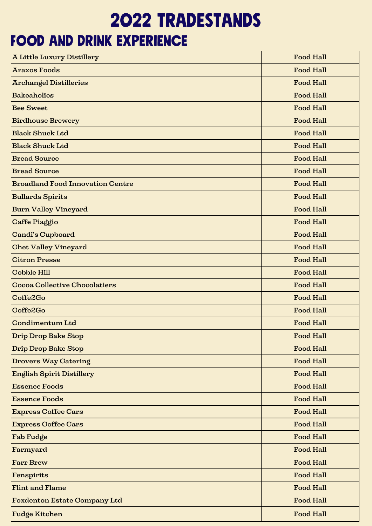## 2022 tradestands

## food and drink experience

| <b>A Little Luxury Distillery</b>       | <b>Food Hall</b> |
|-----------------------------------------|------------------|
| <b>Araxos Foods</b>                     | <b>Food Hall</b> |
| <b>Archangel Distilleries</b>           | <b>Food Hall</b> |
| <b>Bakeaholics</b>                      | <b>Food Hall</b> |
| <b>Bee Sweet</b>                        | <b>Food Hall</b> |
| <b>Birdhouse Brewery</b>                | <b>Food Hall</b> |
| <b>Black Shuck Ltd</b>                  | <b>Food Hall</b> |
| <b>Black Shuck Ltd</b>                  | <b>Food Hall</b> |
| <b>Bread Source</b>                     | <b>Food Hall</b> |
| <b>Bread Source</b>                     | <b>Food Hall</b> |
| <b>Broadland Food Innovation Centre</b> | <b>Food Hall</b> |
| <b>Bullards Spirits</b>                 | <b>Food Hall</b> |
| <b>Burn Valley Vineyard</b>             | <b>Food Hall</b> |
| Caffe Piaggio                           | <b>Food Hall</b> |
| <b>Candi's Cupboard</b>                 | <b>Food Hall</b> |
| <b>Chet Valley Vineyard</b>             | <b>Food Hall</b> |
| <b>Citron Presse</b>                    | <b>Food Hall</b> |
| <b>Cobble Hill</b>                      | <b>Food Hall</b> |
| <b>Cocoa Collective Chocolatiers</b>    | <b>Food Hall</b> |
| Coffe2Go                                | <b>Food Hall</b> |
| Coffe2Go                                | <b>Food Hall</b> |
| <b>Condimentum Ltd</b>                  | <b>Food Hall</b> |
| <b>Drip Drop Bake Stop</b>              | <b>Food Hall</b> |
| Drip Drop Bake Stop                     | <b>Food Hall</b> |
| <b>Drovers Way Catering</b>             | <b>Food Hall</b> |
| <b>English Spirit Distillery</b>        | <b>Food Hall</b> |
| <b>Essence Foods</b>                    | <b>Food Hall</b> |
| <b>Essence Foods</b>                    | <b>Food Hall</b> |
| <b>Express Coffee Cars</b>              | <b>Food Hall</b> |
| <b>Express Coffee Cars</b>              | <b>Food Hall</b> |
| Fab Fudge                               | <b>Food Hall</b> |
| Farmyard                                | <b>Food Hall</b> |
| <b>Farr Brew</b>                        | <b>Food Hall</b> |
| <b>Fenspirits</b>                       | <b>Food Hall</b> |
| <b>Flint and Flame</b>                  | <b>Food Hall</b> |
| <b>Foxdenton Estate Company Ltd</b>     | <b>Food Hall</b> |
| <b>Fudge Kitchen</b>                    | <b>Food Hall</b> |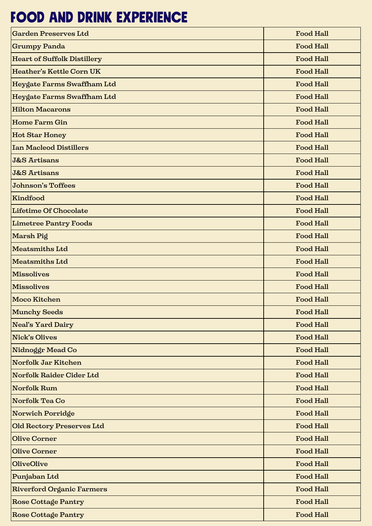## food and drink experience

| <b>Garden Preserves Ltd</b>        | <b>Food Hall</b> |
|------------------------------------|------------------|
| <b>Grumpy Panda</b>                | <b>Food Hall</b> |
| <b>Heart of Suffolk Distillery</b> | <b>Food Hall</b> |
| <b>Heather's Kettle Corn UK</b>    | <b>Food Hall</b> |
| Heygate Farms Swaffham Ltd         | <b>Food Hall</b> |
| Heygate Farms Swaffham Ltd         | <b>Food Hall</b> |
| <b>Hilton Macarons</b>             | <b>Food Hall</b> |
| <b>Home Farm Gin</b>               | <b>Food Hall</b> |
| <b>Hot Star Honey</b>              | <b>Food Hall</b> |
| <b>Ian Macleod Distillers</b>      | <b>Food Hall</b> |
| <b>J&amp;S Artisans</b>            | <b>Food Hall</b> |
| <b>J&amp;S Artisans</b>            | <b>Food Hall</b> |
| <b>Johnson's Toffees</b>           | <b>Food Hall</b> |
| Kindfood                           | <b>Food Hall</b> |
| Lifetime Of Chocolate              | <b>Food Hall</b> |
| <b>Limetree Pantry Foods</b>       | <b>Food Hall</b> |
| Marsh Pig                          | <b>Food Hall</b> |
| Meatsmiths Ltd                     | <b>Food Hall</b> |
| <b>Meatsmiths Ltd</b>              | <b>Food Hall</b> |
| <b>Missolives</b>                  | <b>Food Hall</b> |
| <b>Missolives</b>                  | <b>Food Hall</b> |
| Moco Kitchen                       | <b>Food Hall</b> |
| Munchy Seeds                       | <b>Food Hall</b> |
| Neal's Yard Dairy                  | <b>Food Hall</b> |
| <b>Nick's Olives</b>               | <b>Food Hall</b> |
| Nidnoggr Mead Co                   | <b>Food Hall</b> |
| Norfolk Jar Kitchen                | <b>Food Hall</b> |
| Norfolk Raider Cider Ltd           | <b>Food Hall</b> |
| <b>Norfolk Rum</b>                 | <b>Food Hall</b> |
| Norfolk Tea Co                     | <b>Food Hall</b> |
| Norwich Porridge                   | <b>Food Hall</b> |
| Old Rectory Preserves Ltd          | <b>Food Hall</b> |
| <b>Olive Corner</b>                | <b>Food Hall</b> |
| <b>Olive Corner</b>                | <b>Food Hall</b> |
| <b>OliveOlive</b>                  | <b>Food Hall</b> |
| Punjaban Ltd                       | <b>Food Hall</b> |
| <b>Riverford Organic Farmers</b>   | <b>Food Hall</b> |
| Rose Cottage Pantry                | <b>Food Hall</b> |
| Rose Cottage Pantry                | <b>Food Hall</b> |